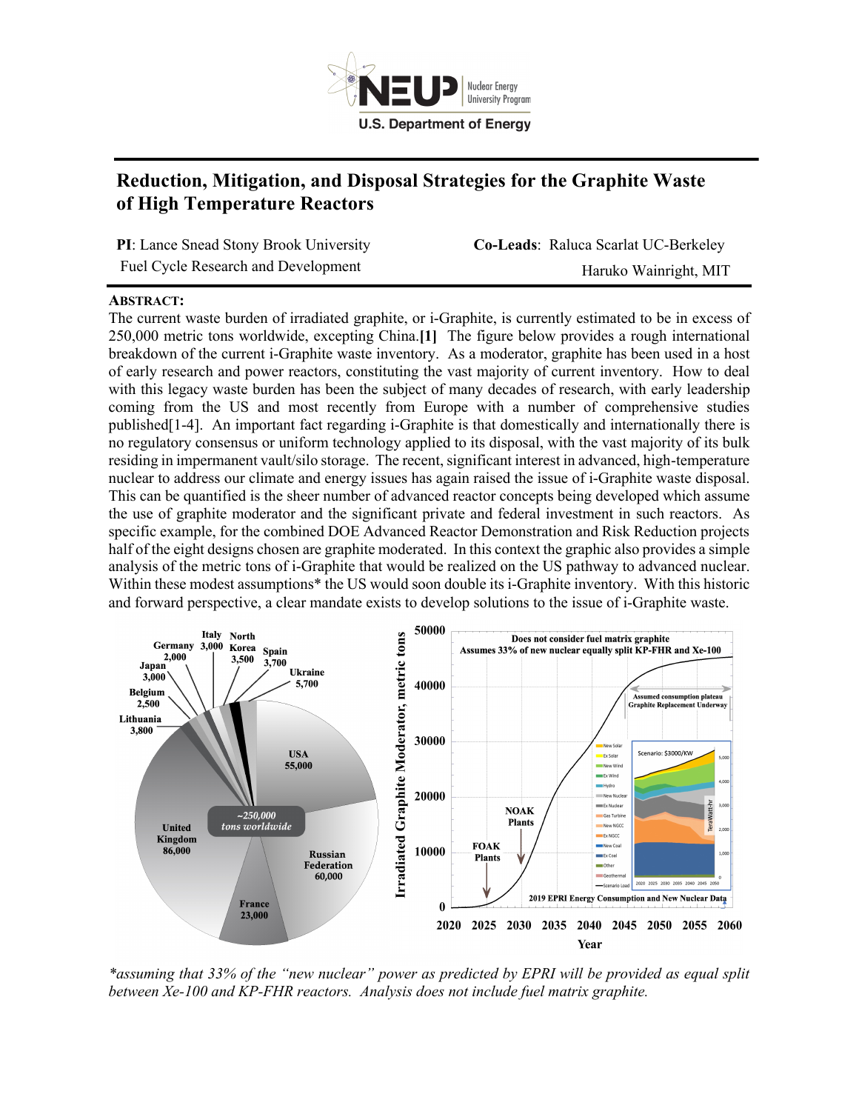

## **Reduction, Mitigation, and Disposal Strategies for the Graphite Waste of High Temperature Reactors**

**PI**: Lance Snead Stony Brook University **Co-Leads**: Raluca Scarlat UC-Berkeley Fuel Cycle Research and Development Haruko Wainright, MIT

## **ABSTRACT:**

The current waste burden of irradiated graphite, or i-Graphite, is currently estimated to be in excess of 250,000 metric tons worldwide, excepting China.**[1]** The figure below provides a rough international breakdown of the current i-Graphite waste inventory. As a moderator, graphite has been used in a host of early research and power reactors, constituting the vast majority of current inventory. How to deal with this legacy waste burden has been the subject of many decades of research, with early leadership coming from the US and most recently from Europe with a number of comprehensive studies published[1-4]. An important fact regarding i-Graphite is that domestically and internationally there is no regulatory consensus or uniform technology applied to its disposal, with the vast majority of its bulk residing in impermanent vault/silo storage. The recent, significant interest in advanced, high-temperature nuclear to address our climate and energy issues has again raised the issue of i-Graphite waste disposal. This can be quantified is the sheer number of advanced reactor concepts being developed which assume the use of graphite moderator and the significant private and federal investment in such reactors. As specific example, for the combined DOE Advanced Reactor Demonstration and Risk Reduction projects half of the eight designs chosen are graphite moderated. In this context the graphic also provides a simple analysis of the metric tons of i-Graphite that would be realized on the US pathway to advanced nuclear. Within these modest assumptions\* the US would soon double its i-Graphite inventory. With this historic and forward perspective, a clear mandate exists to develop solutions to the issue of i-Graphite waste.



*\*assuming that 33% of the "new nuclear" power as predicted by EPRI will be provided as equal split between Xe-100 and KP-FHR reactors. Analysis does not include fuel matrix graphite.*